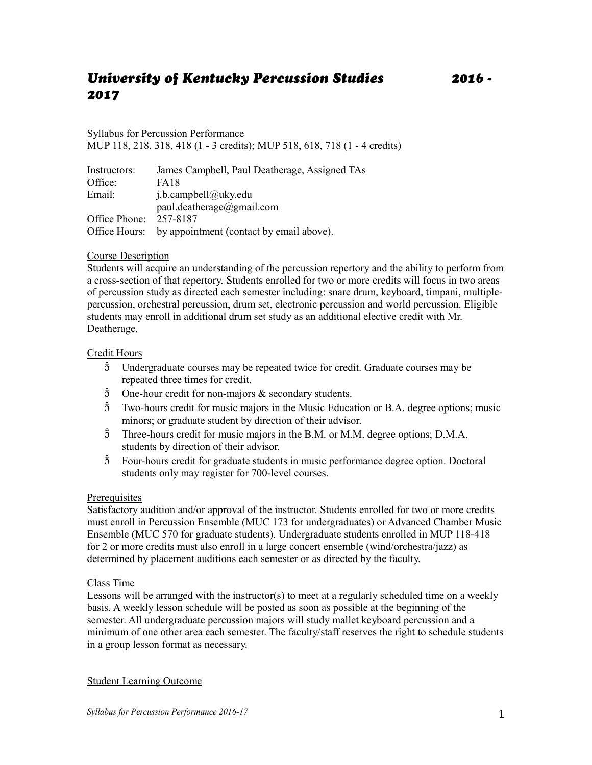# *University of Kentucky Percussion Studies 2016 - 2017*

Syllabus for Percussion Performance MUP 118, 218, 318, 418 (1 - 3 credits); MUP 518, 618, 718 (1 - 4 credits)

| Instructors:  | James Campbell, Paul Deatherage, Assigned TAs |
|---------------|-----------------------------------------------|
| Office:       | <b>FA18</b>                                   |
| Email:        | $i.b.$ campbell@uky.edu                       |
|               | paul.deatherage@gmail.com                     |
| Office Phone: | 257-8187                                      |
| Office Hours: | by appointment (contact by email above).      |

# Course Description

Students will acquire an understanding of the percussion repertory and the ability to perform from a cross-section of that repertory. Students enrolled for two or more credits will focus in two areas of percussion study as directed each semester including: snare drum, keyboard, timpani, multiplepercussion, orchestral percussion, drum set, electronic percussion and world percussion. Eligible students may enroll in additional drum set study as an additional elective credit with Mr. Deatherage.

# Credit Hours

- $\hat{5}$  Undergraduate courses may be repeated twice for credit. Graduate courses may be repeated three times for credit.
- $\hat{3}$  One-hour credit for non-majors & secondary students.
- $\hat{5}$  Two-hours credit for music majors in the Music Education or B.A. degree options; music minors; or graduate student by direction of their advisor.
- $\hat{3}$  Three-hours credit for music majors in the B.M. or M.M. degree options; D.M.A. students by direction of their advisor.
- $\hat{5}$  Four-hours credit for graduate students in music performance degree option. Doctoral students only may register for 700-level courses.

### **Prerequisites**

Satisfactory audition and/or approval of the instructor. Students enrolled for two or more credits must enroll in Percussion Ensemble (MUC 173 for undergraduates) or Advanced Chamber Music Ensemble (MUC 570 for graduate students). Undergraduate students enrolled in MUP 118-418 for 2 or more credits must also enroll in a large concert ensemble (wind/orchestra/jazz) as determined by placement auditions each semester or as directed by the faculty.

### Class Time

Lessons will be arranged with the instructor(s) to meet at a regularly scheduled time on a weekly basis. A weekly lesson schedule will be posted as soon as possible at the beginning of the semester. All undergraduate percussion majors will study mallet keyboard percussion and a minimum of one other area each semester. The faculty/staff reserves the right to schedule students in a group lesson format as necessary.

### Student Learning Outcome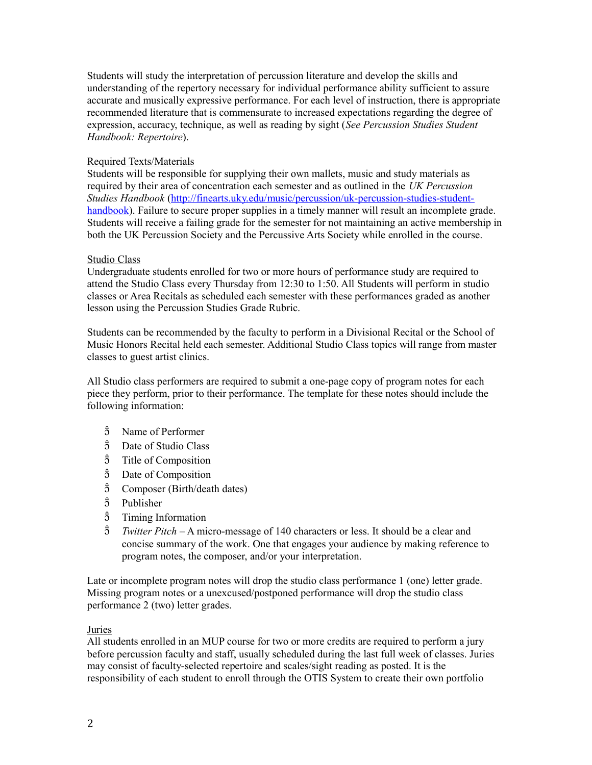Students will study the interpretation of percussion literature and develop the skills and understanding of the repertory necessary for individual performance ability sufficient to assure accurate and musically expressive performance. For each level of instruction, there is appropriate recommended literature that is commensurate to increased expectations regarding the degree of expression, accuracy, technique, as well as reading by sight (*See Percussion Studies Student Handbook: Repertoire*).

### Required Texts/Materials

Students will be responsible for supplying their own mallets, music and study materials as required by their area of concentration each semester and as outlined in the *UK Percussion Studies Handbook* [\(http://finearts.uky.edu/music/percussion/uk-percussion-studies-student](http://finearts.uky.edu/music/percussion/uk-percussion-studies-student-handbook)[handbook\)](http://finearts.uky.edu/music/percussion/uk-percussion-studies-student-handbook). Failure to secure proper supplies in a timely manner will result an incomplete grade. Students will receive a failing grade for the semester for not maintaining an active membership in both the UK Percussion Society and the Percussive Arts Society while enrolled in the course.

### Studio Class

Undergraduate students enrolled for two or more hours of performance study are required to attend the Studio Class every Thursday from 12:30 to 1:50. All Students will perform in studio classes or Area Recitals as scheduled each semester with these performances graded as another lesson using the Percussion Studies Grade Rubric.

Students can be recommended by the faculty to perform in a Divisional Recital or the School of Music Honors Recital held each semester. Additional Studio Class topics will range from master classes to guest artist clinics.

All Studio class performers are required to submit a one-page copy of program notes for each piece they perform, prior to their performance. The template for these notes should include the following information:

- $\hat{3}$  Name of Performer
- $\hat{5}$  Date of Studio Class
- $\hat{3}$  Title of Composition
- Date of Composition
- Composer (Birth/death dates)
- $\hat{3}$  Publisher
- $\hat{3}$  Timing Information
- *Twitter Pitch* A micro-message of 140 characters or less. It should be a clear and concise summary of the work. One that engages your audience by making reference to program notes, the composer, and/or your interpretation.

Late or incomplete program notes will drop the studio class performance 1 (one) letter grade. Missing program notes or a unexcused/postponed performance will drop the studio class performance 2 (two) letter grades.

### Juries

All students enrolled in an MUP course for two or more credits are required to perform a jury before percussion faculty and staff, usually scheduled during the last full week of classes. Juries may consist of faculty-selected repertoire and scales/sight reading as posted. It is the responsibility of each student to enroll through the OTIS System to create their own portfolio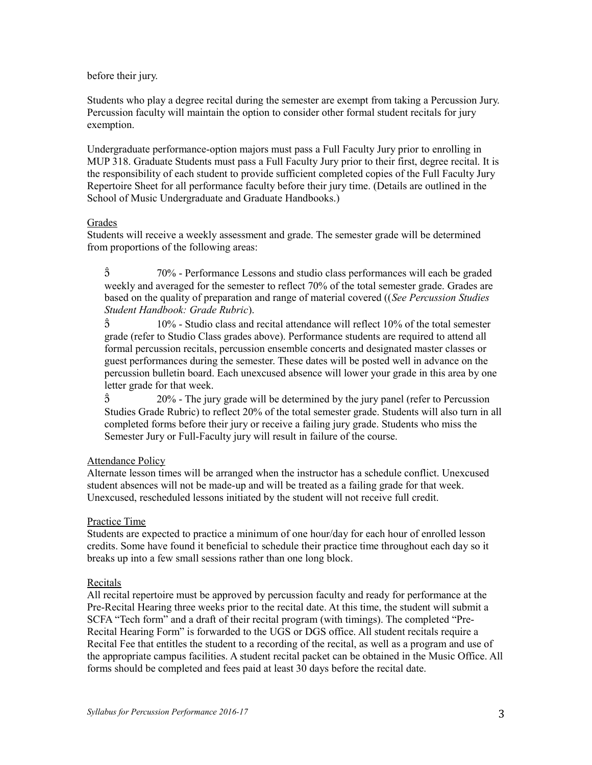#### before their jury.

Students who play a degree recital during the semester are exempt from taking a Percussion Jury. Percussion faculty will maintain the option to consider other formal student recitals for jury exemption.

Undergraduate performance-option majors must pass a Full Faculty Jury prior to enrolling in MUP 318. Graduate Students must pass a Full Faculty Jury prior to their first, degree recital. It is the responsibility of each student to provide sufficient completed copies of the Full Faculty Jury Repertoire Sheet for all performance faculty before their jury time. (Details are outlined in the School of Music Undergraduate and Graduate Handbooks.)

### **Grades**

Students will receive a weekly assessment and grade. The semester grade will be determined from proportions of the following areas:

 70% - Performance Lessons and studio class performances will each be graded weekly and averaged for the semester to reflect 70% of the total semester grade. Grades are based on the quality of preparation and range of material covered ((*See Percussion Studies Student Handbook: Grade Rubric*).

 $\hat{5}$  10% - Studio class and recital attendance will reflect 10% of the total semester grade (refer to Studio Class grades above). Performance students are required to attend all formal percussion recitals, percussion ensemble concerts and designated master classes or guest performances during the semester. These dates will be posted well in advance on the percussion bulletin board. Each unexcused absence will lower your grade in this area by one letter grade for that week.

 $\hat{2}$  20% - The jury grade will be determined by the jury panel (refer to Percussion Studies Grade Rubric) to reflect 20% of the total semester grade. Students will also turn in all completed forms before their jury or receive a failing jury grade. Students who miss the Semester Jury or Full-Faculty jury will result in failure of the course.

# Attendance Policy

Alternate lesson times will be arranged when the instructor has a schedule conflict. Unexcused student absences will not be made-up and will be treated as a failing grade for that week. Unexcused, rescheduled lessons initiated by the student will not receive full credit.

### Practice Time

Students are expected to practice a minimum of one hour/day for each hour of enrolled lesson credits. Some have found it beneficial to schedule their practice time throughout each day so it breaks up into a few small sessions rather than one long block.

### Recitals

All recital repertoire must be approved by percussion faculty and ready for performance at the Pre-Recital Hearing three weeks prior to the recital date. At this time, the student will submit a SCFA "Tech form" and a draft of their recital program (with timings). The completed "Pre-Recital Hearing Form" is forwarded to the UGS or DGS office. All student recitals require a Recital Fee that entitles the student to a recording of the recital, as well as a program and use of the appropriate campus facilities. A student recital packet can be obtained in the Music Office. All forms should be completed and fees paid at least 30 days before the recital date.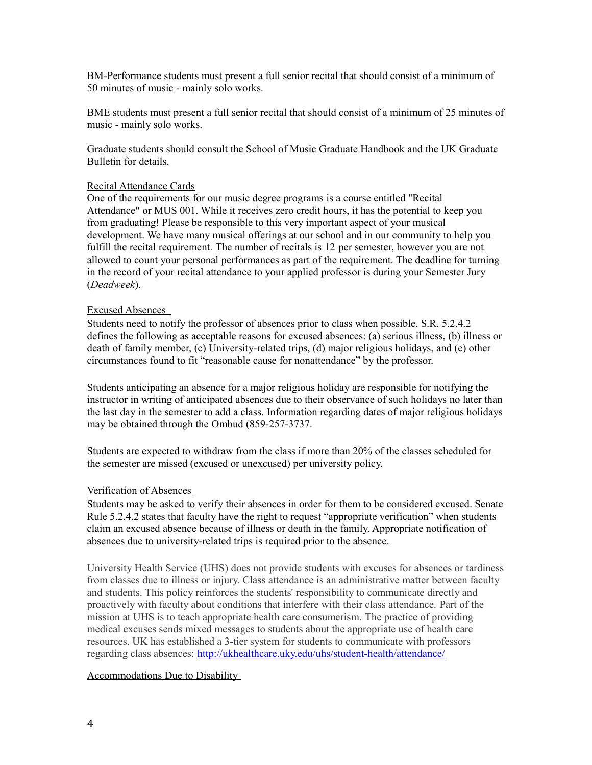BM-Performance students must present a full senior recital that should consist of a minimum of 50 minutes of music - mainly solo works.

BME students must present a full senior recital that should consist of a minimum of 25 minutes of music - mainly solo works.

Graduate students should consult the School of Music Graduate Handbook and the UK Graduate Bulletin for details.

#### Recital Attendance Cards

One of the requirements for our music degree programs is a course entitled "Recital Attendance" or MUS 001. While it receives zero credit hours, it has the potential to keep you from graduating! Please be responsible to this very important aspect of your musical development. We have many musical offerings at our school and in our community to help you fulfill the recital requirement. The number of recitals is 12 per semester, however you are not allowed to count your personal performances as part of the requirement. The deadline for turning in the record of your recital attendance to your applied professor is during your Semester Jury (*Deadweek*).

#### Excused Absences

Students need to notify the professor of absences prior to class when possible. S.R. 5.2.4.2 defines the following as acceptable reasons for excused absences: (a) serious illness, (b) illness or death of family member, (c) University-related trips, (d) major religious holidays, and (e) other circumstances found to fit "reasonable cause for nonattendance" by the professor.

Students anticipating an absence for a major religious holiday are responsible for notifying the instructor in writing of anticipated absences due to their observance of such holidays no later than the last day in the semester to add a class. Information regarding dates of major religious holidays may be obtained through the Ombud (859-257-3737.

Students are expected to withdraw from the class if more than 20% of the classes scheduled for the semester are missed (excused or unexcused) per university policy.

#### Verification of Absences

Students may be asked to verify their absences in order for them to be considered excused. Senate Rule 5.2.4.2 states that faculty have the right to request "appropriate verification" when students claim an excused absence because of illness or death in the family. Appropriate notification of absences due to university-related trips is required prior to the absence.

University Health Service (UHS) does not provide students with excuses for absences or tardiness from classes due to illness or injury. Class attendance is an administrative matter between faculty and students. This policy reinforces the students' responsibility to communicate directly and proactively with faculty about conditions that interfere with their class attendance. Part of the mission at UHS is to teach appropriate health care consumerism. The practice of providing medical excuses sends mixed messages to students about the appropriate use of health care resources. UK has established a 3-tier system for students to communicate with professors regarding class absences:<http://ukhealthcare.uky.edu/uhs/student-health/attendance/>

#### Accommodations Due to Disability